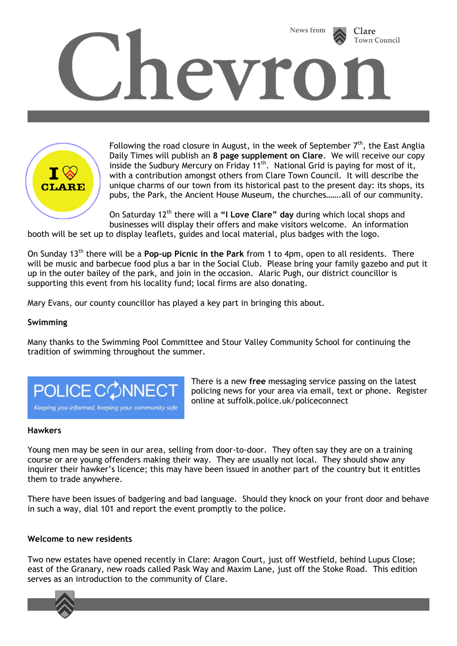



Following the road closure in August, in the week of September  $7<sup>th</sup>$ , the East Anglia Daily Times will publish an **8 page supplement on Clare**. We will receive our copy inside the Sudbury Mercury on Friday 11<sup>th</sup>. National Grid is paying for most of it, with a contribution amongst others from Clare Town Council. It will describe the unique charms of our town from its historical past to the present day: its shops, its pubs, the Park, the Ancient House Museum, the churches…….all of our community.

On Saturday 12<sup>th</sup> there will a "I Love Clare" day during which local shops and businesses will display their offers and make visitors welcome. An information

booth will be set up to display leaflets, guides and local material, plus badges with the logo.

On Sunday 13th there will be a **Pop-up Picnic in the Park** from 1 to 4pm, open to all residents. There will be music and barbecue food plus a bar in the Social Club. Please bring your family gazebo and put it up in the outer bailey of the park, and join in the occasion. Alaric Pugh, our district councillor is supporting this event from his locality fund; local firms are also donating.

Mary Evans, our county councillor has played a key part in bringing this about.

### **Swimming**

Many thanks to the Swimming Pool Committee and Stour Valley Community School for continuing the tradition of swimming throughout the summer.



There is a new **free** messaging service passing on the latest policing news for your area via email, text or phone. Register online at suffolk.police.uk/policeconnect

#### **Hawkers**

Young men may be seen in our area, selling from door-to-door. They often say they are on a training course or are young offenders making their way. They are usually not local. They should show any inquirer their hawker's licence; this may have been issued in another part of the country but it entitles them to trade anywhere.

There have been issues of badgering and bad language. Should they knock on your front door and behave in such a way, dial 101 and report the event promptly to the police.

#### **Welcome to new residents**

Two new estates have opened recently in Clare: Aragon Court, just off Westfield, behind Lupus Close; east of the Granary, new roads called Pask Way and Maxim Lane, just off the Stoke Road. This edition serves as an introduction to the community of Clare.

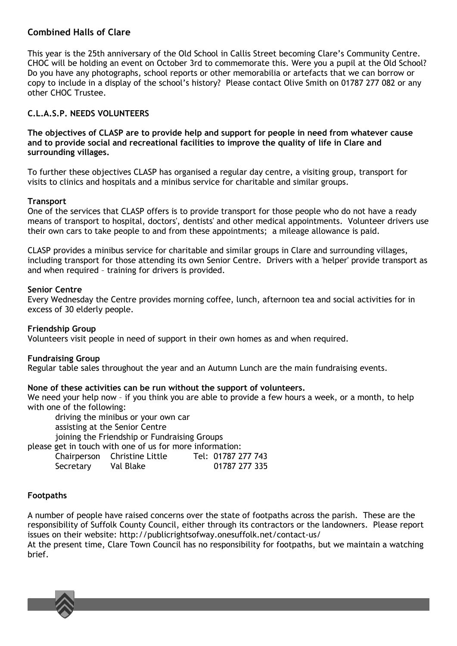# **Combined Halls of Clare**

This year is the 25th anniversary of the Old School in Callis Street becoming Clare's Community Centre. CHOC will be holding an event on October 3rd to commemorate this. Were you a pupil at the Old School? Do you have any photographs, school reports or other memorabilia or artefacts that we can borrow or copy to include in a display of the school's history? Please contact Olive Smith on 01787 277 082 or any other CHOC Trustee.

# **C.L.A.S.P. NEEDS VOLUNTEERS**

**The objectives of CLASP are to provide help and support for people in need from whatever cause and to provide social and recreational facilities to improve the quality of life in Clare and surrounding villages.**

To further these objectives CLASP has organised a regular day centre, a visiting group, transport for visits to clinics and hospitals and a minibus service for charitable and similar groups.

#### **Transport**

One of the services that CLASP offers is to provide transport for those people who do not have a ready means of transport to hospital, doctors', dentists' and other medical appointments. Volunteer drivers use their own cars to take people to and from these appointments; a mileage allowance is paid.

CLASP provides a minibus service for charitable and similar groups in Clare and surrounding villages, including transport for those attending its own Senior Centre. Drivers with a 'helper' provide transport as and when required – training for drivers is provided.

#### **Senior Centre**

Every Wednesday the Centre provides morning coffee, lunch, afternoon tea and social activities for in excess of 30 elderly people.

#### **Friendship Group**

Volunteers visit people in need of support in their own homes as and when required.

#### **Fundraising Group**

Regular table sales throughout the year and an Autumn Lunch are the main fundraising events.

#### **None of these activities can be run without the support of volunteers.**

We need your help now - if you think you are able to provide a few hours a week, or a month, to help with one of the following:

driving the minibus or your own car assisting at the Senior Centre joining the Friendship or Fundraising Groups

please get in touch with one of us for more information:

|           | Chairperson Christine Little | Tel: 01787 277 743 |
|-----------|------------------------------|--------------------|
| Secretary | Val Blake                    | 01787 277 335      |

#### **Footpaths**

A number of people have raised concerns over the state of footpaths across the parish. These are the responsibility of Suffolk County Council, either through its contractors or the landowners. Please report issues on their website: http://publicrightsofway.onesuffolk.net/contact-us/

At the present time, Clare Town Council has no responsibility for footpaths, but we maintain a watching brief.